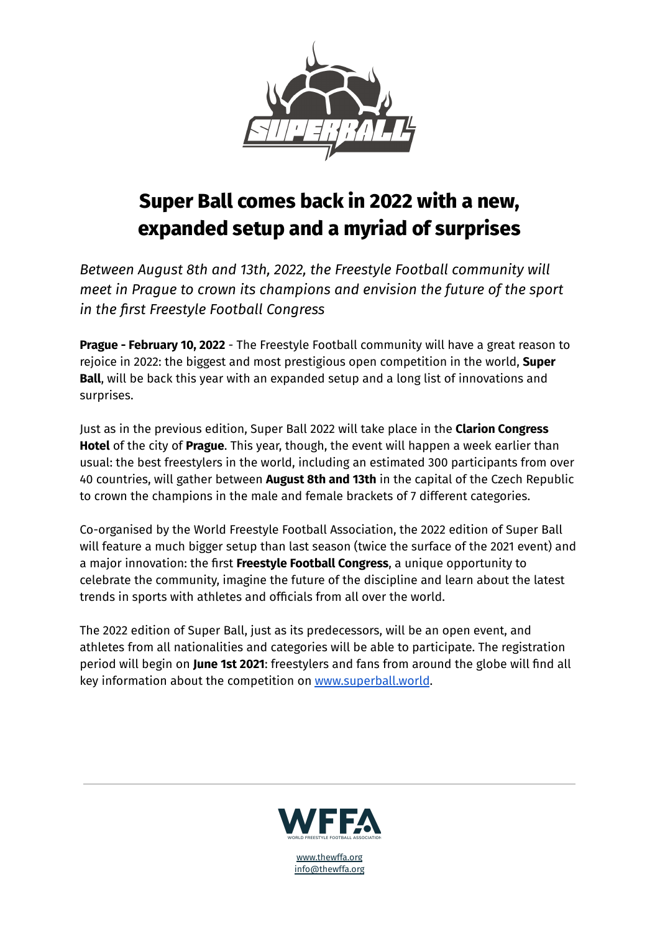

## **Super Ball comes back in 2022 with a new, expanded setup and a myriad of surprises**

*Between August 8th and 13th, 2022, the Freestyle Football community will meet in Prague to crown its champions and envision the future of the sport in the first Freestyle Football Congress*

**Prague - February 10, 2022** - The Freestyle Football community will have a great reason to rejoice in 2022: the biggest and most prestigious open competition in the world, **Super Ball**, will be back this year with an expanded setup and a long list of innovations and surprises.

Just as in the previous edition, Super Ball 2022 will take place in the **Clarion Congress Hotel** of the city of **Prague**. This year, though, the event will happen a week earlier than usual: the best freestylers in the world, including an estimated 300 participants from over 40 countries, will gather between **August 8th and 13th** in the capital of the Czech Republic to crown the champions in the male and female brackets of 7 different categories.

Co-organised by the World Freestyle Football Association, the 2022 edition of Super Ball will feature a much bigger setup than last season (twice the surface of the 2021 event) and a major innovation: the first **Freestyle Football Congress**, a unique opportunity to celebrate the community, imagine the future of the discipline and learn about the latest trends in sports with athletes and officials from all over the world.

The 2022 edition of Super Ball, just as its predecessors, will be an open event, and athletes from all nationalities and categories will be able to participate. The registration period will begin on **June 1st 2021**: freestylers and fans from around the globe will find all key information about the competition on [www.superball.world](http://www.superball.world).

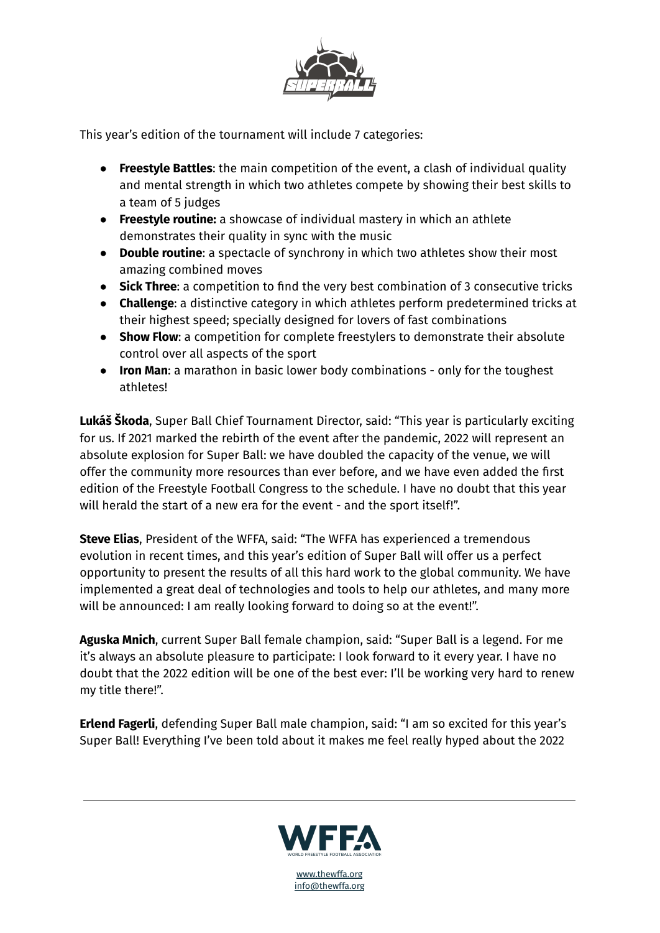

This year's edition of the tournament will include 7 categories:

- **Freestyle Battles**: the main competition of the event, a clash of individual quality and mental strength in which two athletes compete by showing their best skills to a team of 5 judges
- **Freestyle routine:** a showcase of individual mastery in which an athlete demonstrates their quality in sync with the music
- **Double routine**: a spectacle of synchrony in which two athletes show their most amazing combined moves
- **Sick Three**: a competition to find the very best combination of 3 consecutive tricks
- **Challenge**: a distinctive category in which athletes perform predetermined tricks at their highest speed; specially designed for lovers of fast combinations
- **Show Flow**: a competition for complete freestylers to demonstrate their absolute control over all aspects of the sport
- **Iron Man**: a marathon in basic lower body combinations only for the toughest athletes!

**Lukáš Škoda**, Super Ball Chief Tournament Director, said: "This year is particularly exciting for us. If 2021 marked the rebirth of the event after the pandemic, 2022 will represent an absolute explosion for Super Ball: we have doubled the capacity of the venue, we will offer the community more resources than ever before, and we have even added the first edition of the Freestyle Football Congress to the schedule. I have no doubt that this year will herald the start of a new era for the event - and the sport itself!".

**Steve Elias**, President of the WFFA, said: "The WFFA has experienced a tremendous evolution in recent times, and this year's edition of Super Ball will offer us a perfect opportunity to present the results of all this hard work to the global community. We have implemented a great deal of technologies and tools to help our athletes, and many more will be announced: I am really looking forward to doing so at the event!".

**Aguska Mnich**, current Super Ball female champion, said: "Super Ball is a legend. For me it's always an absolute pleasure to participate: I look forward to it every year. I have no doubt that the 2022 edition will be one of the best ever: I'll be working very hard to renew my title there!".

**Erlend Fagerli**, defending Super Ball male champion, said: "I am so excited for this year's Super Ball! Everything I've been told about it makes me feel really hyped about the 2022

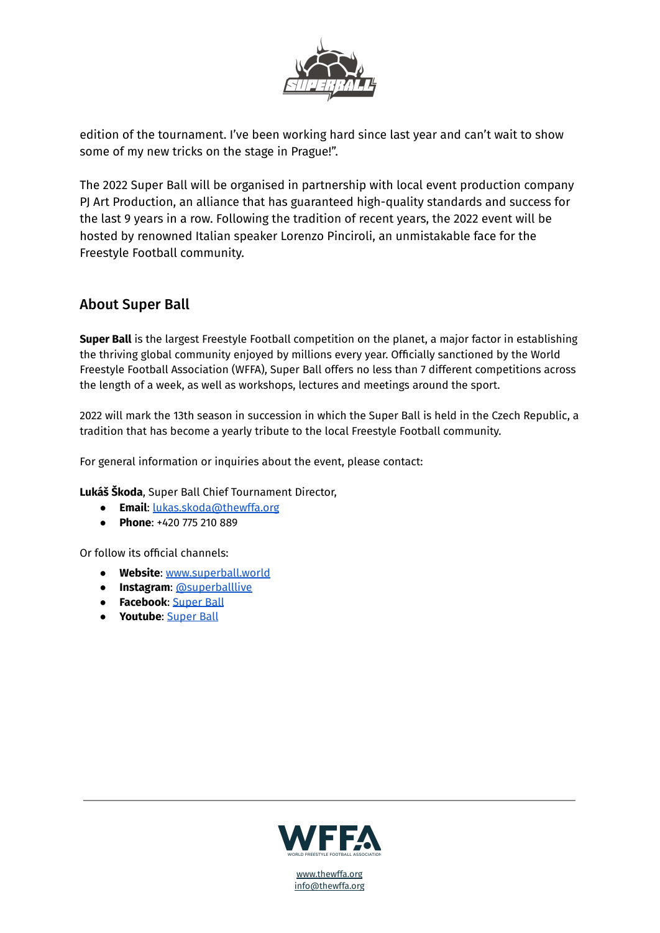

edition of the tournament. I've been working hard since last year and can't wait to show some of my new tricks on the stage in Prague!".

The 2022 Super Ball will be organised in partnership with local event production company PJ Art Production, an alliance that has guaranteed high-quality standards and success for the last 9 years in a row. Following the tradition of recent years, the 2022 event will be hosted by renowned Italian speaker Lorenzo Pinciroli, an unmistakable face for the Freestyle Football community.

## About Super Ball

**Super Ball** is the largest Freestyle Football competition on the planet, a major factor in establishing the thriving global community enjoyed by millions every year. Officially sanctioned by the World Freestyle Football Association (WFFA), Super Ball offers no less than 7 different competitions across the length of a week, as well as workshops, lectures and meetings around the sport.

2022 will mark the 13th season in succession in which the Super Ball is held in the Czech Republic, a tradition that has become a yearly tribute to the local Freestyle Football community.

For general information or inquiries about the event, please contact:

**Lukáš Škoda**, Super Ball Chief Tournament Director,

- **Email**: [lukas.skoda@thewffa.org](mailto:lucaso@thewffa.org)
- **Phone**: +420 775 210 889

Or follow its official channels:

- **Website**: [www.superball.world](http://www.superball.world)
- **Instagram**: [@superballlive](https://www.instagram.com/superballlive/)
- **Facebook**: [Super](https://www.facebook.com/superballofficial) Ball
- **Youtube**: [Super](https://www.youtube.com/c/SuperBallOfficial) Ball



[info@thewffa.org](mailto:info@thewffa.org)